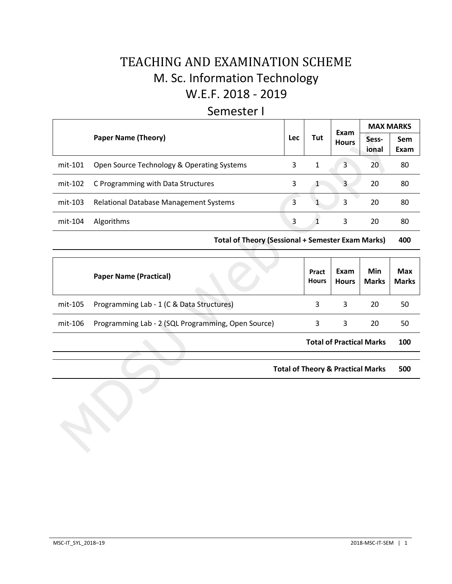## TEACHING AND EXAMINATION SCHEME M. Sc. Information Technology W.E.F. 2018 - 2019

### Semester I

|         |                                               |            |     | Exam         |                | <b>MAX MARKS</b> |
|---------|-----------------------------------------------|------------|-----|--------------|----------------|------------------|
|         | <b>Paper Name (Theory)</b>                    | <b>Lec</b> | Tut | <b>Hours</b> | Sess-<br>ional | Sem<br>Exam      |
| mit-101 | Open Source Technology & Operating Systems    | 3          | 1   | 3            | 20             | 80               |
| mit-102 | C Programming with Data Structures            | 3          |     | 3            | 20             | 80               |
| mit-103 | <b>Relational Database Management Systems</b> | 3          |     | 3            | 20             | 80               |
| mit-104 | Algorithms                                    | 3          |     | 3            | 20             | 80               |

**Total of Theory (Sessional + Semester Exam Marks) 400**

|         | <b>Paper Name (Practical)</b>                      | Pract<br><b>Hours</b> | Exam<br><b>Hours</b>            | Min<br><b>Marks</b> | <b>Max</b><br><b>Marks</b> |
|---------|----------------------------------------------------|-----------------------|---------------------------------|---------------------|----------------------------|
| mit-105 | Programming Lab - 1 (C & Data Structures)          | 3                     | 3                               | 20                  | 50                         |
| mit-106 | Programming Lab - 2 (SQL Programming, Open Source) |                       | 3                               | 20                  | 50                         |
|         |                                                    |                       | <b>Total of Practical Marks</b> |                     | 100                        |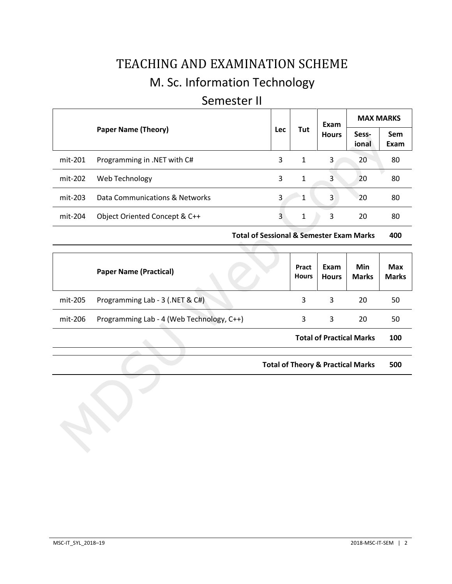# TEACHING AND EXAMINATION SCHEME M. Sc. Information Technology

## Semester II

|           |                                |                   |   | Exam         | <b>MAX MARKS</b> |                    |
|-----------|--------------------------------|-------------------|---|--------------|------------------|--------------------|
|           | <b>Paper Name (Theory)</b>     | Tut<br><b>Lec</b> |   | <b>Hours</b> | Sess-<br>ional   | <b>Sem</b><br>Exam |
| mit-201   | Programming in .NET with C#    | 3                 | 1 | 3            | 20               | 80                 |
| mit-202   | Web Technology                 | 3                 | 1 | 3            | 20               | 80                 |
| $mit-203$ | Data Communications & Networks | 3                 | 1 | 3            | 20               | 80                 |
| mit-204   | Object Oriented Concept & C++  | 3                 | 1 | 3            | 20               | 80                 |

**Total of Sessional & Semester Exam Marks 400**

|         | <b>Paper Name (Practical)</b>             | Pract<br><b>Hours</b> | Exam<br><b>Hours</b> | Min<br><b>Marks</b>             | <b>Max</b><br><b>Marks</b> |
|---------|-------------------------------------------|-----------------------|----------------------|---------------------------------|----------------------------|
| mit-205 | Programming Lab - 3 (.NET & C#)           | 3                     | 3                    | 20                              | 50                         |
| mit-206 | Programming Lab - 4 (Web Technology, C++) | 3                     | 3                    | 20                              | 50                         |
|         |                                           |                       |                      | <b>Total of Practical Marks</b> | 100                        |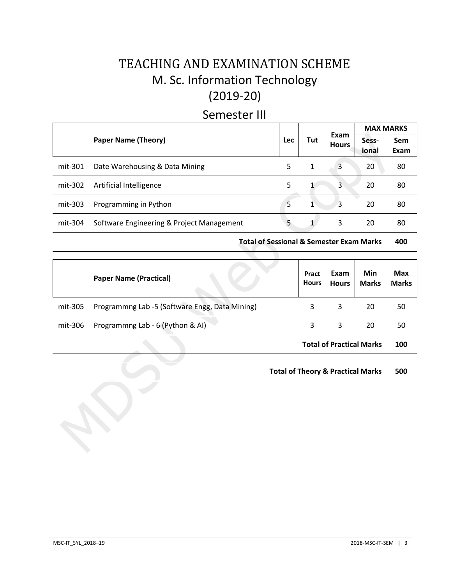## TEACHING AND EXAMINATION SCHEME M. Sc. Information Technology (2019-20)

## Semester III

|         |                                           |     |              |                      |                | <b>MAX MARKS</b> |
|---------|-------------------------------------------|-----|--------------|----------------------|----------------|------------------|
|         | <b>Paper Name (Theory)</b>                | Lec | Tut          | Exam<br><b>Hours</b> | Sess-<br>ional | Sem<br>Exam      |
| mit-301 | Date Warehousing & Data Mining            | 5   | 1            | 3                    | 20             | 80               |
| mit-302 | Artificial Intelligence                   | 5   |              | 3                    | 20             | 80               |
| mit-303 | Programming in Python                     | 5   | $\mathbf{1}$ | 3                    | 20             | 80               |
| mit-304 | Software Engineering & Project Management | 5   |              | 3                    | 20             | 80               |

**Total of Sessional & Semester Exam Marks 400**

|         | <b>Paper Name (Practical)</b>                  | Pract<br><b>Hours</b> | Exam<br><b>Hours</b>            | Min<br><b>Marks</b> | <b>Max</b><br><b>Marks</b> |
|---------|------------------------------------------------|-----------------------|---------------------------------|---------------------|----------------------------|
| mit-305 | Programmng Lab -5 (Software Engg, Data Mining) | 3                     | 3                               | 20                  | 50                         |
| mit-306 | Programmng Lab - 6 (Python & AI)               | 3                     | 3                               | 20                  | 50                         |
|         |                                                |                       | <b>Total of Practical Marks</b> |                     | 100                        |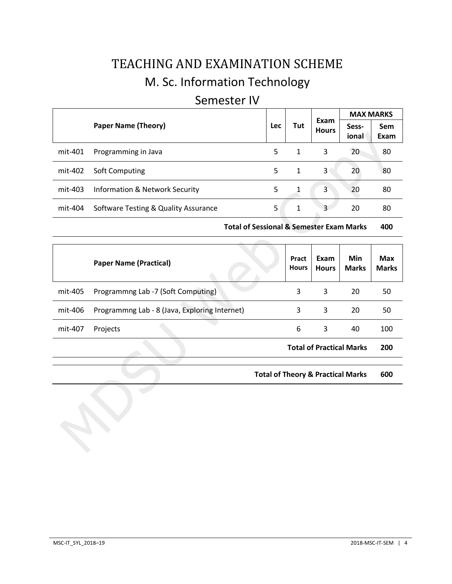# TEACHING AND EXAMINATION SCHEME M. Sc. Information Technology

### Semester IV

|         |                                           |            |     |                      | <b>MAX MARKS</b> |             |
|---------|-------------------------------------------|------------|-----|----------------------|------------------|-------------|
|         | <b>Paper Name (Theory)</b>                | <b>Lec</b> | Tut | Exam<br><b>Hours</b> | Sess-<br>ional   | Sem<br>Exam |
| mit-401 | Programming in Java                       | 5          | 1   | 3                    | 20               | 80          |
| mit-402 | Soft Computing                            | 5.         | 1   | 3                    | 20               | 80          |
| mit-403 | <b>Information &amp; Network Security</b> | 5          | 1   | 3                    | 20               | 80          |
| mit-404 | Software Testing & Quality Assurance      | 5          | 1   | 3                    | 20               | 80          |

**Total of Sessional & Semester Exam Marks 400**

|         | <b>Paper Name (Practical)</b>                 | Pract<br><b>Hours</b> | Exam<br><b>Hours</b>            | Min<br><b>Marks</b> | <b>Max</b><br><b>Marks</b> |
|---------|-----------------------------------------------|-----------------------|---------------------------------|---------------------|----------------------------|
| mit-405 | Programmng Lab -7 (Soft Computing)            | 3                     | 3                               | 20                  | 50                         |
| mit-406 | Programmng Lab - 8 (Java, Exploring Internet) | 3                     | 3                               | 20                  | 50                         |
| mit-407 | Projects                                      | 6                     | 3                               | 40                  | 100                        |
|         |                                               |                       | <b>Total of Practical Marks</b> |                     | 200                        |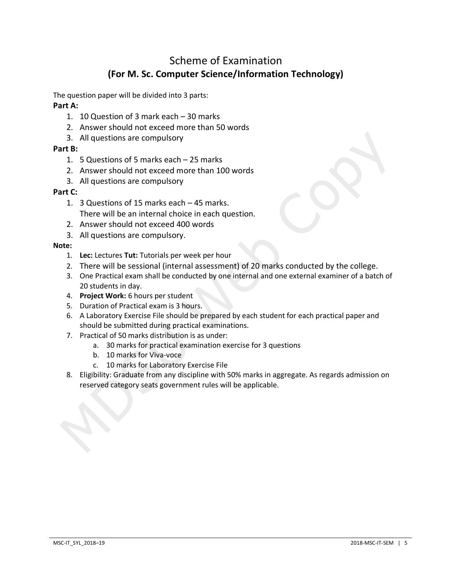## Scheme of Examination **(For M. Sc. Computer Science/Information Technology)**

The question paper will be divided into 3 parts:

#### **Part A:**

- 1. 10 Question of 3 mark each 30 marks
- 2. Answer should not exceed more than 50 words
- 3. All questions are compulsory

#### **Part B:**

- 1. 5 Questions of 5 marks each 25 marks
- 2. Answer should not exceed more than 100 words
- 3. All questions are compulsory

#### **Part C:**

- 1. 3 Questions of 15 marks each 45 marks. There will be an internal choice in each question.
- 2. Answer should not exceed 400 words
- 3. All questions are compulsory.

#### **Note:**

- 1. **Lec:** Lectures **Tut:** Tutorials per week per hour
- 2. There will be sessional (internal assessment) of 20 marks conducted by the college.
- 3. One Practical exam shall be conducted by one internal and one external examiner of a batch of 20 students in day.
- 4. **Project Work:** 6 hours per student
- 5. Duration of Practical exam is 3 hours.
- 6. A Laboratory Exercise File should be prepared by each student for each practical paper and should be submitted during practical examinations.
- 7. Practical of 50 marks distribution is as under:
	- a. 30 marks for practical examination exercise for 3 questions
	- b. 10 marks for Viva-voce
	- c. 10 marks for Laboratory Exercise File
- 8. Eligibility: Graduate from any discipline with 50% marks in aggregate. As regards admission on reserved category seats government rules will be applicable.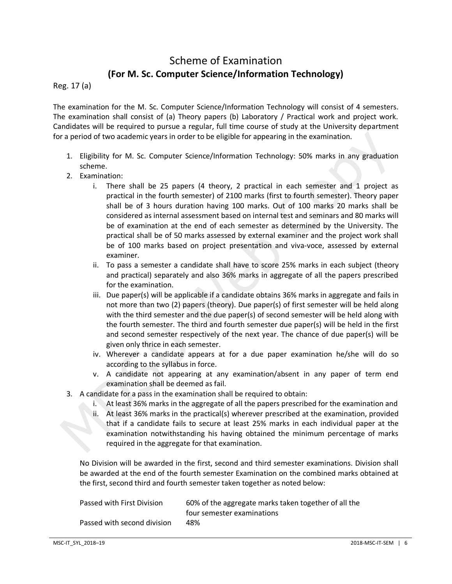## Scheme of Examination **(For M. Sc. Computer Science/Information Technology)**

Reg. 17 (a)

The examination for the M. Sc. Computer Science/Information Technology will consist of 4 semesters. The examination shall consist of (a) Theory papers (b) Laboratory / Practical work and project work. Candidates will be required to pursue a regular, full time course of study at the University department for a period of two academic years in order to be eligible for appearing in the examination.

- 1. Eligibility for M. Sc. Computer Science/Information Technology: 50% marks in any graduation scheme.
- 2. Examination:
	- i. There shall be 25 papers (4 theory, 2 practical in each semester and 1 project as practical in the fourth semester) of 2100 marks (first to fourth semester). Theory paper shall be of 3 hours duration having 100 marks. Out of 100 marks 20 marks shall be considered as internal assessment based on internal test and seminars and 80 marks will be of examination at the end of each semester as determined by the University. The practical shall be of 50 marks assessed by external examiner and the project work shall be of 100 marks based on project presentation and viva-voce, assessed by external examiner.
	- ii. To pass a semester a candidate shall have to score 25% marks in each subject (theory and practical) separately and also 36% marks in aggregate of all the papers prescribed for the examination.
	- iii. Due paper(s) will be applicable if a candidate obtains 36% marks in aggregate and fails in not more than two (2) papers (theory). Due paper(s) of first semester will be held along with the third semester and the due paper(s) of second semester will be held along with the fourth semester. The third and fourth semester due paper(s) will be held in the first and second semester respectively of the next year. The chance of due paper(s) will be given only thrice in each semester.
	- iv. Wherever a candidate appears at for a due paper examination he/she will do so according to the syllabus in force.
	- v. A candidate not appearing at any examination/absent in any paper of term end examination shall be deemed as fail.
- 3. A candidate for a pass in the examination shall be required to obtain:
	- i. At least 36% marks in the aggregate of all the papers prescribed for the examination and
	- ii. At least 36% marks in the practical(s) wherever prescribed at the examination, provided that if a candidate fails to secure at least 25% marks in each individual paper at the examination notwithstanding his having obtained the minimum percentage of marks required in the aggregate for that examination.

No Division will be awarded in the first, second and third semester examinations. Division shall be awarded at the end of the fourth semester Examination on the combined marks obtained at the first, second third and fourth semester taken together as noted below:

| Passed with First Division  | 60% of the aggregate marks taken together of all the |
|-----------------------------|------------------------------------------------------|
|                             | four semester examinations                           |
| Passed with second division | 48%                                                  |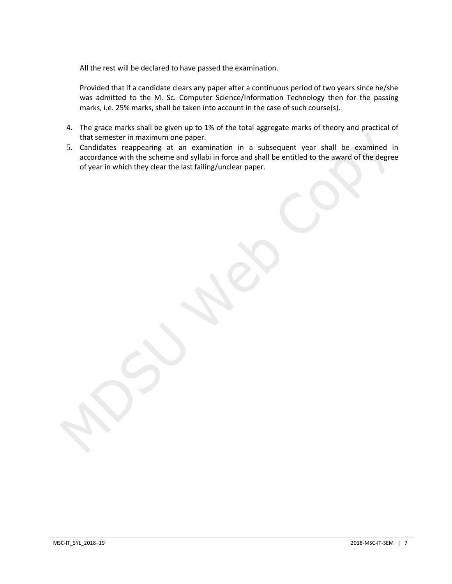All the rest will be declared to have passed the examination.

Provided that if a candidate clears any paper after a continuous period of two years since he/she was admitted to the M. Sc. Computer Science/Information Technology then for the passing marks, i.e. 25% marks, shall be taken into account in the case of such course(s).

- 4. The grace marks shall be given up to 1% of the total aggregate marks of theory and practical of that semester in maximum one paper.
- 5. Candidates reappearing at an examination in a subsequent year shall be examined in accordance with the scheme and syllabi in force and shall be entitled to the award of the degree of year in which they clear the last failing/unclear paper.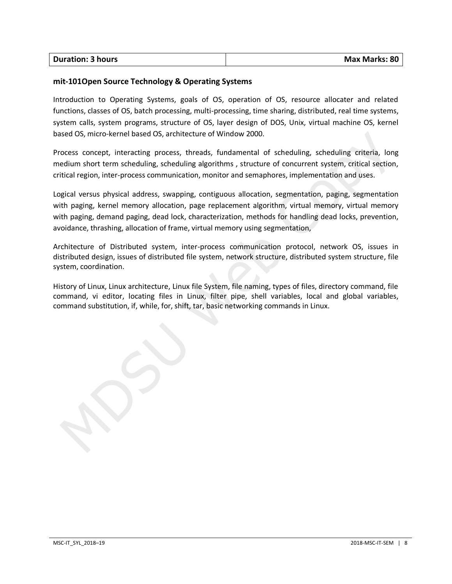| <b>Duration: 3 hours</b> | <b>Max Marks: 80</b> |
|--------------------------|----------------------|
|                          |                      |

#### **mit-101Open Source Technology & Operating Systems**

Introduction to Operating Systems, goals of OS, operation of OS, resource allocater and related functions, classes of OS, batch processing, multi-processing, time sharing, distributed, real time systems, system calls, system programs, structure of OS, layer design of DOS, Unix, virtual machine OS, kernel based OS, micro-kernel based OS, architecture of Window 2000.

Process concept, interacting process, threads, fundamental of scheduling, scheduling criteria, long medium short term scheduling, scheduling algorithms , structure of concurrent system, critical section, critical region, inter-process communication, monitor and semaphores, implementation and uses.

Logical versus physical address, swapping, contiguous allocation, segmentation, paging, segmentation with paging, kernel memory allocation, page replacement algorithm, virtual memory, virtual memory with paging, demand paging, dead lock, characterization, methods for handling dead locks, prevention, avoidance, thrashing, allocation of frame, virtual memory using segmentation,

Architecture of Distributed system, inter-process communication protocol, network OS, issues in distributed design, issues of distributed file system, network structure, distributed system structure, file system, coordination.

History of Linux, Linux architecture, Linux file System, file naming, types of files, directory command, file command, vi editor, locating files in Linux, filter pipe, shell variables, local and global variables, command substitution, if, while, for, shift, tar, basic networking commands in Linux.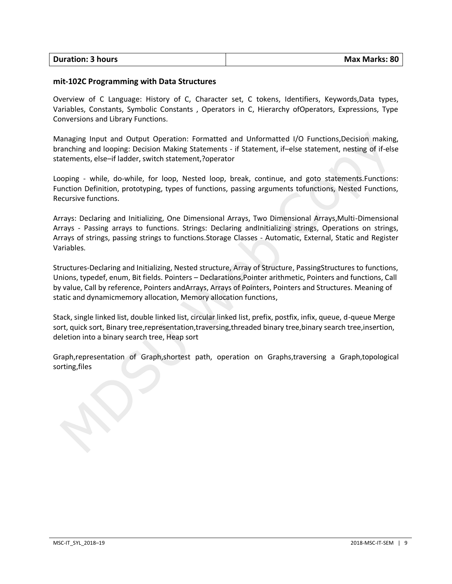| <b>Duration: 3 hours</b> | <b>Max Marks: 80</b> |
|--------------------------|----------------------|
|                          |                      |

#### **mit-102C Programming with Data Structures**

Overview of C Language: History of C, Character set, C tokens, Identifiers, Keywords,Data types, Variables, Constants, Symbolic Constants , Operators in C, Hierarchy ofOperators, Expressions, Type Conversions and Library Functions.

Managing Input and Output Operation: Formatted and Unformatted I/O Functions,Decision making, branching and looping: Decision Making Statements - if Statement, if–else statement, nesting of if-else statements, else–if ladder, switch statement,?operator

Looping - while, do-while, for loop, Nested loop, break, continue, and goto statements.Functions: Function Definition, prototyping, types of functions, passing arguments tofunctions, Nested Functions, Recursive functions.

Arrays: Declaring and Initializing, One Dimensional Arrays, Two Dimensional Arrays,Multi-Dimensional Arrays - Passing arrays to functions. Strings: Declaring andInitializing strings, Operations on strings, Arrays of strings, passing strings to functions.Storage Classes - Automatic, External, Static and Register Variables.

Structures-Declaring and Initializing, Nested structure, Array of Structure, PassingStructures to functions, Unions, typedef, enum, Bit fields. Pointers – Declarations,Pointer arithmetic, Pointers and functions, Call by value, Call by reference, Pointers andArrays, Arrays of Pointers, Pointers and Structures. Meaning of static and dynamicmemory allocation, Memory allocation functions,

Stack, single linked list, double linked list, circular linked list, prefix, postfix, infix, queue, d-queue Merge sort, quick sort, Binary tree,representation,traversing,threaded binary tree,binary search tree,insertion, deletion into a binary search tree, Heap sort

Graph,representation of Graph,shortest path, operation on Graphs,traversing a Graph,topological sorting,files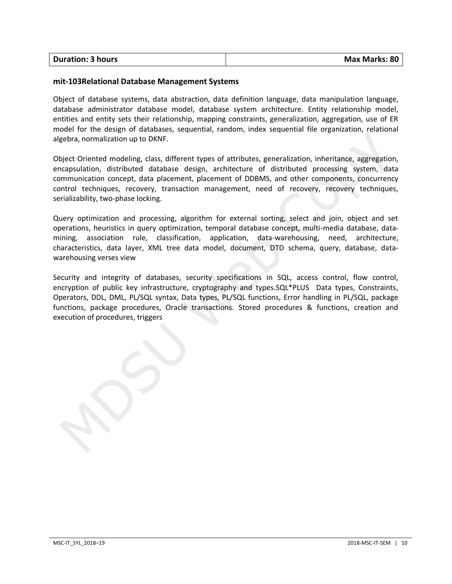| <b>Duration: 3 hours</b> | <b>Max Marks: 80</b> |
|--------------------------|----------------------|
|                          |                      |

#### **mit-103Relational Database Management Systems**

Object of database systems, data abstraction, data definition language, data manipulation language, database administrator database model, database system architecture. Entity relationship model, entities and entity sets their relationship, mapping constraints, generalization, aggregation, use of ER model for the design of databases, sequential, random, index sequential file organization, relational algebra, normalization up to DKNF.

Object Oriented modeling, class, different types of attributes, generalization, inheritance, aggregation, encapsulation, distributed database design, architecture of distributed processing system, data communication concept, data placement, placement of DDBMS, and other components, concurrency control techniques, recovery, transaction management, need of recovery, recovery techniques, serializability, two-phase locking.

Query optimization and processing, algorithm for external sorting, select and join, object and set operations, heuristics in query optimization, temporal database concept, multi-media database, datamining, association rule, classification, application, data-warehousing, need, architecture, characteristics, data layer, XML tree data model, document, DTD schema, query, database, datawarehousing verses view

Security and integrity of databases, security specifications in SQL, access control, flow control, encryption of public key infrastructure, cryptography and types.SQL\*PLUS Data types, Constraints, Operators, DDL, DML, PL/SQL syntax, Data types, PL/SQL functions, Error handling in PL/SQL, package functions, package procedures, Oracle transactions. Stored procedures & functions, creation and execution of procedures, triggers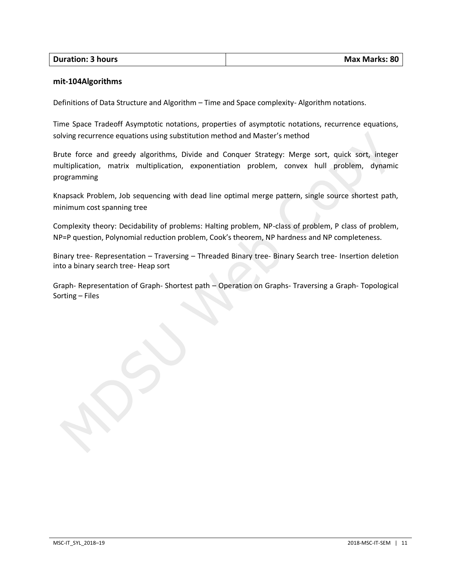| <b>Duration: 3 hours</b> | <b>Max Marks: 80</b> |
|--------------------------|----------------------|

#### **mit-104Algorithms**

Definitions of Data Structure and Algorithm – Time and Space complexity- Algorithm notations.

Time Space Tradeoff Asymptotic notations, properties of asymptotic notations, recurrence equations, solving recurrence equations using substitution method and Master's method

Brute force and greedy algorithms, Divide and Conquer Strategy: Merge sort, quick sort, integer multiplication, matrix multiplication, exponentiation problem, convex hull problem, dynamic programming

Knapsack Problem, Job sequencing with dead line optimal merge pattern, single source shortest path, minimum cost spanning tree

Complexity theory: Decidability of problems: Halting problem, NP-class of problem, P class of problem, NP=P question, Polynomial reduction problem, Cook's theorem, NP hardness and NP completeness.

Binary tree- Representation – Traversing – Threaded Binary tree- Binary Search tree- Insertion deletion into a binary search tree- Heap sort

Graph- Representation of Graph- Shortest path – Operation on Graphs- Traversing a Graph- Topological Sorting – Files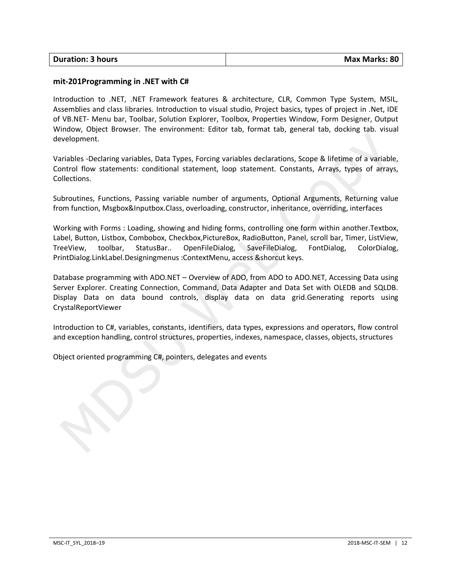| <b>Duration: 3 hours</b> | <b>Max Marks: 80</b> |
|--------------------------|----------------------|
|                          |                      |

#### **mit-201Programming in .NET with C#**

Introduction to .NET, .NET Framework features & architecture, CLR, Common Type System, MSIL, Assemblies and class libraries. Introduction to visual studio, Project basics, types of project in .Net, IDE of VB.NET- Menu bar, Toolbar, Solution Explorer, Toolbox, Properties Window, Form Designer, Output Window, Object Browser. The environment: Editor tab, format tab, general tab, docking tab. visual development.

Variables -Declaring variables, Data Types, Forcing variables declarations, Scope & lifetime of a variable, Control flow statements: conditional statement, loop statement. Constants, Arrays, types of arrays, Collections.

Subroutines, Functions, Passing variable number of arguments, Optional Arguments, Returning value from function, Msgbox&Inputbox.Class, overloading, constructor, inheritance, overriding, interfaces

Working with Forms : Loading, showing and hiding forms, controlling one form within another.Textbox, Label, Button, Listbox, Combobox, Checkbox,PictureBox, RadioButton, Panel, scroll bar, Timer, ListView, TreeView, toolbar, StatusBar.. OpenFileDialog, SaveFileDialog, FontDialog, ColorDialog, PrintDialog.LinkLabel.Designingmenus :ContextMenu, access &shorcut keys.

Database programming with ADO.NET – Overview of ADO, from ADO to ADO.NET, Accessing Data using Server Explorer. Creating Connection, Command, Data Adapter and Data Set with OLEDB and SQLDB. Display Data on data bound controls, display data on data grid.Generating reports using CrystalReportViewer

Introduction to C#, variables, constants, identifiers, data types, expressions and operators, flow control and exception handling, control structures, properties, indexes, namespace, classes, objects, structures

Object oriented programming C#, pointers, delegates and events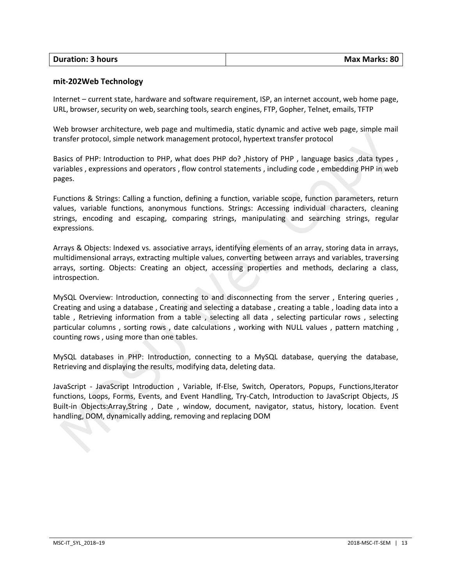| <b>Duration: 3 hours</b> | <b>Max Marks: 80</b> |
|--------------------------|----------------------|

#### **mit-202Web Technology**

Internet – current state, hardware and software requirement, ISP, an internet account, web home page, URL, browser, security on web, searching tools, search engines, FTP, Gopher, Telnet, emails, TFTP

Web browser architecture, web page and multimedia, static dynamic and active web page, simple mail transfer protocol, simple network management protocol, hypertext transfer protocol

Basics of PHP: Introduction to PHP, what does PHP do? ,history of PHP , language basics ,data types , variables , expressions and operators , flow control statements , including code , embedding PHP in web pages.

Functions & Strings: Calling a function, defining a function, variable scope, function parameters, return values, variable functions, anonymous functions. Strings: Accessing individual characters, cleaning strings, encoding and escaping, comparing strings, manipulating and searching strings, regular expressions.

Arrays & Objects: Indexed vs. associative arrays, identifying elements of an array, storing data in arrays, multidimensional arrays, extracting multiple values, converting between arrays and variables, traversing arrays, sorting. Objects: Creating an object, accessing properties and methods, declaring a class, introspection.

MySQL Overview: Introduction, connecting to and disconnecting from the server , Entering queries , Creating and using a database , Creating and selecting a database , creating a table , loading data into a table , Retrieving information from a table , selecting all data , selecting particular rows , selecting particular columns , sorting rows , date calculations , working with NULL values , pattern matching , counting rows , using more than one tables.

MySQL databases in PHP: Introduction, connecting to a MySQL database, querying the database, Retrieving and displaying the results, modifying data, deleting data.

JavaScript - JavaScript Introduction , Variable, If-Else, Switch, Operators, Popups, Functions,Iterator functions, Loops, Forms, Events, and Event Handling, Try-Catch, Introduction to JavaScript Objects, JS Built-in Objects:Array,String , Date , window, document, navigator, status, history, location. Event handling, DOM, dynamically adding, removing and replacing DOM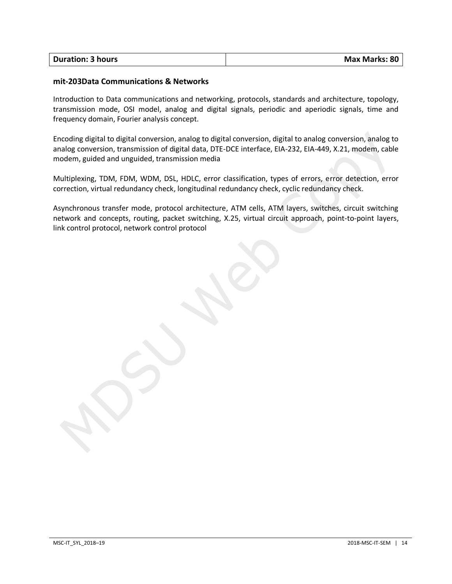| <b>Duration: 3 hours</b> | Max Marks: 80 |
|--------------------------|---------------|
|                          |               |

#### **mit-203Data Communications & Networks**

Introduction to Data communications and networking, protocols, standards and architecture, topology, transmission mode, OSI model, analog and digital signals, periodic and aperiodic signals, time and frequency domain, Fourier analysis concept.

Encoding digital to digital conversion, analog to digital conversion, digital to analog conversion, analog to analog conversion, transmission of digital data, DTE-DCE interface, EIA-232, EIA-449, X.21, modem, cable modem, guided and unguided, transmission media

Multiplexing, TDM, FDM, WDM, DSL, HDLC, error classification, types of errors, error detection, error correction, virtual redundancy check, longitudinal redundancy check, cyclic redundancy check.

Asynchronous transfer mode, protocol architecture, ATM cells, ATM layers, switches, circuit switching network and concepts, routing, packet switching, X.25, virtual circuit approach, point-to-point layers, link control protocol, network control protocol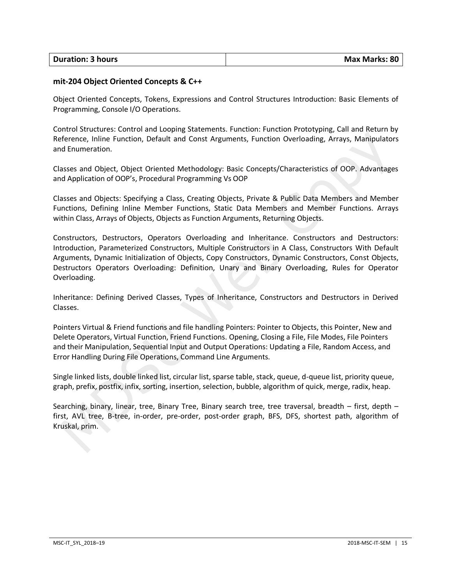| <b>Duration: 3 hours</b> | Max Marks: 80 |
|--------------------------|---------------|
|                          |               |

#### **mit-204 Object Oriented Concepts & C++**

Object Oriented Concepts, Tokens, Expressions and Control Structures Introduction: Basic Elements of Programming, Console I/O Operations.

Control Structures: Control and Looping Statements. Function: Function Prototyping, Call and Return by Reference, Inline Function, Default and Const Arguments, Function Overloading, Arrays, Manipulators and Enumeration.

Classes and Object, Object Oriented Methodology: Basic Concepts/Characteristics of OOP. Advantages and Application of OOP's, Procedural Programming Vs OOP

Classes and Objects: Specifying a Class, Creating Objects, Private & Public Data Members and Member Functions, Defining Inline Member Functions, Static Data Members and Member Functions. Arrays within Class, Arrays of Objects, Objects as Function Arguments, Returning Objects.

Constructors, Destructors, Operators Overloading and Inheritance. Constructors and Destructors: Introduction, Parameterized Constructors, Multiple Constructors in A Class, Constructors With Default Arguments, Dynamic Initialization of Objects, Copy Constructors, Dynamic Constructors, Const Objects, Destructors Operators Overloading: Definition, Unary and Binary Overloading, Rules for Operator Overloading.

Inheritance: Defining Derived Classes, Types of Inheritance, Constructors and Destructors in Derived Classes.

Pointers Virtual & Friend functions and file handling Pointers: Pointer to Objects, this Pointer, New and Delete Operators, Virtual Function, Friend Functions. Opening, Closing a File, File Modes, File Pointers and their Manipulation, Sequential Input and Output Operations: Updating a File, Random Access, and Error Handling During File Operations, Command Line Arguments.

Single linked lists, double linked list, circular list, sparse table, stack, queue, d-queue list, priority queue, graph, prefix, postfix, infix, sorting, insertion, selection, bubble, algorithm of quick, merge, radix, heap.

Searching, binary, linear, tree, Binary Tree, Binary search tree, tree traversal, breadth – first, depth – first, AVL tree, B-tree, in-order, pre-order, post-order graph, BFS, DFS, shortest path, algorithm of Kruskal, prim.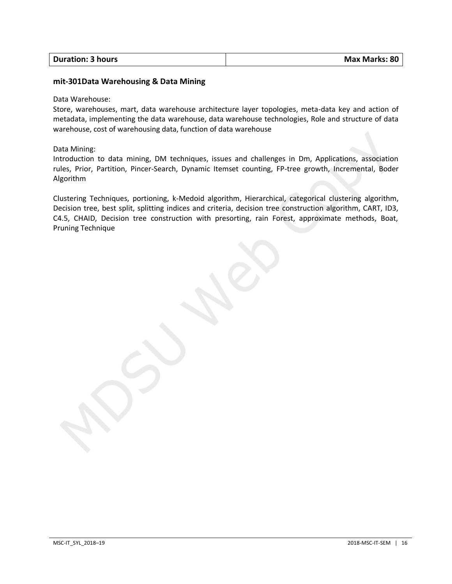| <b>Duration: 3 hours</b> | Max Marks: 80 |
|--------------------------|---------------|
|                          |               |

#### **mit-301Data Warehousing & Data Mining**

#### Data Warehouse:

Store, warehouses, mart, data warehouse architecture layer topologies, meta-data key and action of metadata, implementing the data warehouse, data warehouse technologies, Role and structure of data warehouse, cost of warehousing data, function of data warehouse

#### Data Mining:

Introduction to data mining, DM techniques, issues and challenges in Dm, Applications, association rules, Prior, Partition, Pincer-Search, Dynamic Itemset counting, FP-tree growth, Incremental, Boder Algorithm

Clustering Techniques, portioning, k-Medoid algorithm, Hierarchical, categorical clustering algorithm, Decision tree, best split, splitting indices and criteria, decision tree construction algorithm, CART, ID3, C4.5, CHAID, Decision tree construction with presorting, rain Forest, approximate methods, Boat, Pruning Technique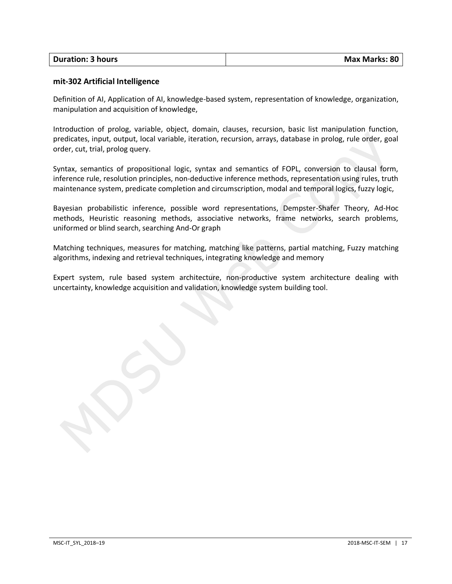| <b>Duration: 3 hours</b> | Max Marks: 80 |
|--------------------------|---------------|
|                          |               |

#### **mit-302 Artificial Intelligence**

Definition of AI, Application of AI, knowledge-based system, representation of knowledge, organization, manipulation and acquisition of knowledge,

Introduction of prolog, variable, object, domain, clauses, recursion, basic list manipulation function, predicates, input, output, local variable, iteration, recursion, arrays, database in prolog, rule order, goal order, cut, trial, prolog query.

Syntax, semantics of propositional logic, syntax and semantics of FOPL, conversion to clausal form, inference rule, resolution principles, non-deductive inference methods, representation using rules, truth maintenance system, predicate completion and circumscription, modal and temporal logics, fuzzy logic,

Bayesian probabilistic inference, possible word representations, Dempster-Shafer Theory, Ad-Hoc methods, Heuristic reasoning methods, associative networks, frame networks, search problems, uniformed or blind search, searching And-Or graph

Matching techniques, measures for matching, matching like patterns, partial matching, Fuzzy matching algorithms, indexing and retrieval techniques, integrating knowledge and memory

Expert system, rule based system architecture, non-productive system architecture dealing with uncertainty, knowledge acquisition and validation, knowledge system building tool.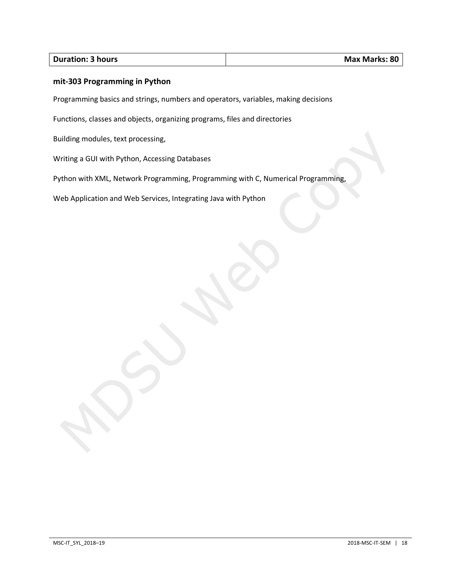#### **Duration: 3 hours Max Marks: 80**

#### **mit-303 Programming in Python**

Programming basics and strings, numbers and operators, variables, making decisions

Functions, classes and objects, organizing programs, files and directories

Building modules, text processing,

Writing a GUI with Python, Accessing Databases

Python with XML, Network Programming, Programming with C, Numerical Programming,

Web Application and Web Services, Integrating Java with Python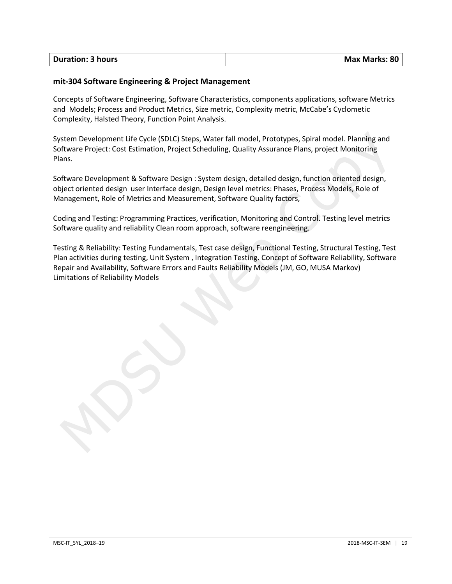| <b>Duration: 3 hours</b> | <b>Max Marks: 80</b> |
|--------------------------|----------------------|
|                          |                      |

#### **mit-304 Software Engineering & Project Management**

Concepts of Software Engineering, Software Characteristics, components applications, software Metrics and Models; Process and Product Metrics, Size metric, Complexity metric, McCabe's Cyclometic Complexity, Halsted Theory, Function Point Analysis.

System Development Life Cycle (SDLC) Steps, Water fall model, Prototypes, Spiral model. Planning and Software Project: Cost Estimation, Project Scheduling, Quality Assurance Plans, project Monitoring Plans.

Software Development & Software Design : System design, detailed design, function oriented design, object oriented design user Interface design, Design level metrics: Phases, Process Models, Role of Management, Role of Metrics and Measurement, Software Quality factors,

Coding and Testing: Programming Practices, verification, Monitoring and Control. Testing level metrics Software quality and reliability Clean room approach, software reengineering.

Testing & Reliability: Testing Fundamentals, Test case design, Functional Testing, Structural Testing, Test Plan activities during testing, Unit System , Integration Testing. Concept of Software Reliability, Software Repair and Availability, Software Errors and Faults Reliability Models (JM, GO, MUSA Markov) Limitations of Reliability Models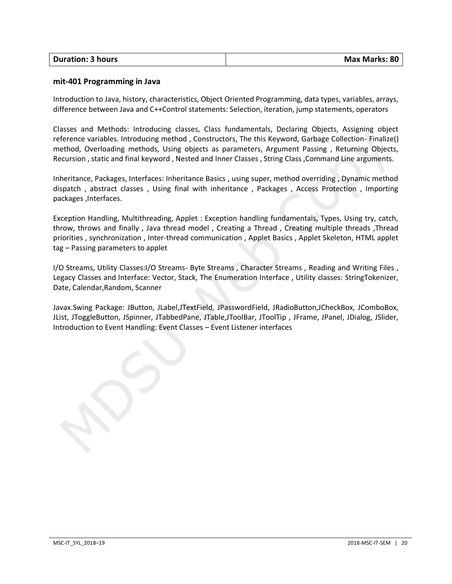| <b>Duration: 3 hours</b> | Max Marks: 80 |
|--------------------------|---------------|
|                          |               |

#### **mit-401 Programming in Java**

Introduction to Java, history, characteristics, Object Oriented Programming, data types, variables, arrays, difference between Java and C++Control statements: Selection, iteration, jump statements, operators

Classes and Methods: Introducing classes, Class fundamentals, Declaring Objects, Assigning object reference variables. Introducing method , Constructors, The this Keyword, Garbage Collection- Finalize() method, Overloading methods, Using objects as parameters, Argument Passing , Returning Objects, Recursion , static and final keyword , Nested and Inner Classes , String Class ,Command Line arguments.

Inheritance, Packages, Interfaces: Inheritance Basics , using super, method overriding , Dynamic method dispatch , abstract classes , Using final with inheritance , Packages , Access Protection , Importing packages ,Interfaces.

Exception Handling, Multithreading, Applet : Exception handling fundamentals, Types, Using try, catch, throw, throws and finally , Java thread model , Creating a Thread , Creating multiple threads ,Thread priorities , synchronization , Inter-thread communication , Applet Basics , Applet Skeleton, HTML applet tag – Passing parameters to applet

I/O Streams, Utility Classes:I/O Streams- Byte Streams , Character Streams , Reading and Writing Files , Legacy Classes and Interface: Vector, Stack, The Enumeration Interface , Utility classes: StringTokenizer, Date, Calendar,Random, Scanner

Javax.Swing Package: JButton, JLabel,JTextField, JPasswordField, JRadioButton,JCheckBox, JComboBox, JList, JToggleButton, JSpinner, JTabbedPane, JTable,JToolBar, JToolTip , JFrame, JPanel, JDialog, JSlider, Introduction to Event Handling: Event Classes – Event Listener interfaces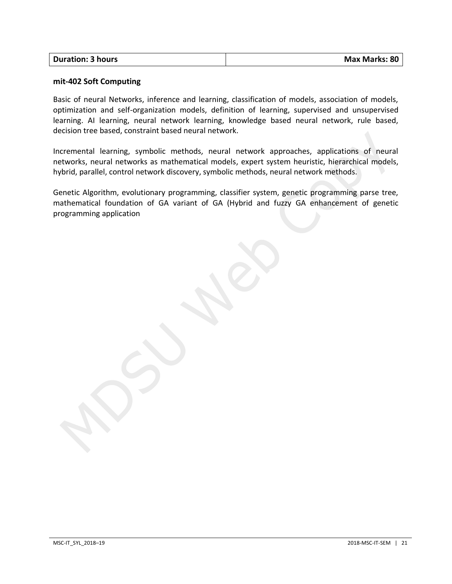| <b>Duration: 3 hours</b> | <b>Max Marks: 80</b> |
|--------------------------|----------------------|
|                          |                      |

#### **mit-402 Soft Computing**

Basic of neural Networks, inference and learning, classification of models, association of models, optimization and self-organization models, definition of learning, supervised and unsupervised learning. AI learning, neural network learning, knowledge based neural network, rule based, decision tree based, constraint based neural network.

Incremental learning, symbolic methods, neural network approaches, applications of neural networks, neural networks as mathematical models, expert system heuristic, hierarchical models, hybrid, parallel, control network discovery, symbolic methods, neural network methods.

Genetic Algorithm, evolutionary programming, classifier system, genetic programming parse tree, mathematical foundation of GA variant of GA (Hybrid and fuzzy GA enhancement of genetic programming application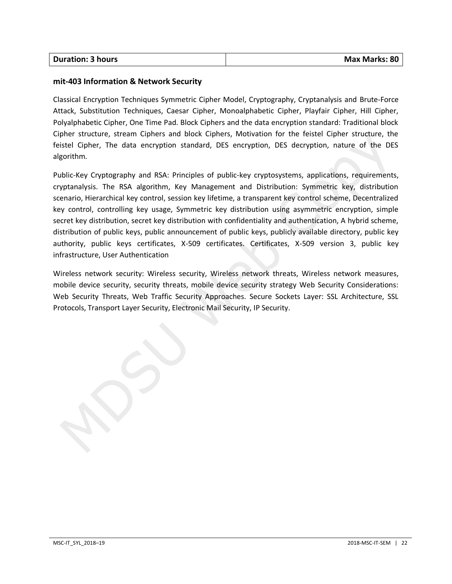| <b>Duration: 3 hours</b> |  |
|--------------------------|--|
|                          |  |

#### **mit-403 Information & Network Security**

Classical Encryption Techniques Symmetric Cipher Model, Cryptography, Cryptanalysis and Brute-Force Attack, Substitution Techniques, Caesar Cipher, Monoalphabetic Cipher, Playfair Cipher, Hill Cipher, Polyalphabetic Cipher, One Time Pad. Block Ciphers and the data encryption standard: Traditional block Cipher structure, stream Ciphers and block Ciphers, Motivation for the feistel Cipher structure, the feistel Cipher, The data encryption standard, DES encryption, DES decryption, nature of the DES algorithm.

Public-Key Cryptography and RSA: Principles of public-key cryptosystems, applications, requirements, cryptanalysis. The RSA algorithm, Key Management and Distribution: Symmetric key, distribution scenario, Hierarchical key control, session key lifetime, a transparent key control scheme, Decentralized key control, controlling key usage, Symmetric key distribution using asymmetric encryption, simple secret key distribution, secret key distribution with confidentiality and authentication, A hybrid scheme, distribution of public keys, public announcement of public keys, publicly available directory, public key authority, public keys certificates, X-509 certificates. Certificates, X-509 version 3, public key infrastructure, User Authentication

Wireless network security: Wireless security, Wireless network threats, Wireless network measures, mobile device security, security threats, mobile device security strategy Web Security Considerations: Web Security Threats, Web Traffic Security Approaches. Secure Sockets Layer: SSL Architecture, SSL Protocols, Transport Layer Security, Electronic Mail Security, IP Security.